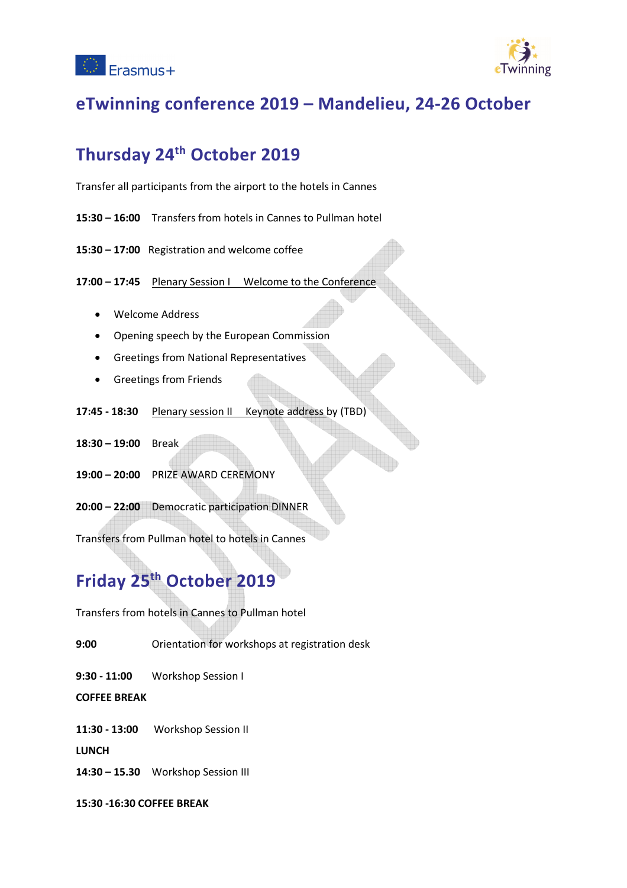



### **eTwinning conference 2019 – Mandelieu, 24-26 October**

## **Thursday 24th October 2019**

Transfer all participants from the airport to the hotels in Cannes

- **15:30 16:00** Transfers from hotels in Cannes to Pullman hotel
- **15:30 17:00** Registration and welcome coffee

**17:00 – 17:45** Plenary Session I Welcome to the Conference

- Welcome Address
- Opening speech by the European Commission
- Greetings from National Representatives
- **•** Greetings from Friends
- **17:45 18:30** Plenary session II Keynote address by (TBD)
- **18:30 19:00** Break
- **19:00 20:00** PRIZE AWARD CEREMONY
- **20:00 22:00** Democratic participation DINNER

Transfers from Pullman hotel to hotels in Cannes

# **Friday 25th October 2019**

Transfers from hotels in Cannes to Pullman hotel

**9:00** Orientation for workshops at registration desk

**9:30 - 11:00** Workshop Session I

**COFFEE BREAK** 

**11:30 - 13:00** Workshop Session II

**LUNCH** 

**14:30 – 15.30** Workshop Session III

**15:30 -16:30 COFFEE BREAK**